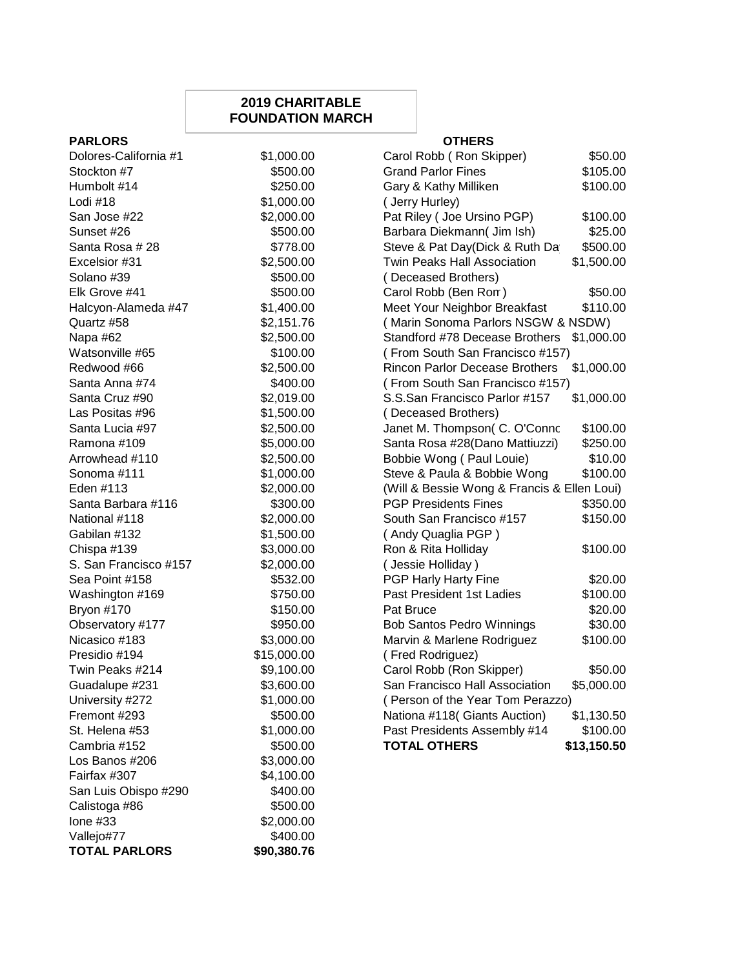## **2019 CHARITABLE FOUNDATION MARCH**

| <b>PARLORS</b>        |             | <b>OTHERS</b>                      |
|-----------------------|-------------|------------------------------------|
| Dolores-California #1 | \$1,000.00  | Carol Robb (Ron Skipper)           |
| Stockton #7           | \$500.00    | <b>Grand Parlor Fines</b>          |
| Humbolt #14           | \$250.00    | Gary & Kathy Milliken              |
| Lodi #18              | \$1,000.00  | (Jerry Hurley)                     |
| San Jose #22          | \$2,000.00  | Pat Riley (Joe Ursino PGP)         |
| Sunset #26            | \$500.00    | Barbara Diekmann (Jim Ish)         |
| Santa Rosa # 28       | \$778.00    | Steve & Pat Day(Dick & Ruth Da     |
| Excelsior #31         | \$2,500.00  | <b>Twin Peaks Hall Association</b> |
| Solano #39            | \$500.00    | (Deceased Brothers)                |
| Elk Grove #41         | \$500.00    | Carol Robb (Ben Rom)               |
| Halcyon-Alameda #47   | \$1,400.00  | Meet Your Neighbor Breakfast       |
| Quartz #58            | \$2,151.76  | (Marin Sonoma Parlors NSGW & I     |
| Napa #62              | \$2,500.00  | Standford #78 Decease Brothers     |
| Watsonville #65       | \$100.00    | (From South San Francisco #157)    |
| Redwood #66           | \$2,500.00  | Rincon Parlor Decease Brothers     |
| Santa Anna #74        | \$400.00    | (From South San Francisco #157)    |
| Santa Cruz #90        | \$2,019.00  | S.S.San Francisco Parlor #157      |
| Las Positas #96       | \$1,500.00  | (Deceased Brothers)                |
| Santa Lucia #97       | \$2,500.00  | Janet M. Thompson( C. O'Connc      |
| Ramona #109           | \$5,000.00  | Santa Rosa #28(Dano Mattiuzzi)     |
| Arrowhead #110        | \$2,500.00  | Bobbie Wong (Paul Louie)           |
| Sonoma #111           | \$1,000.00  | Steve & Paula & Bobbie Wong        |
| Eden #113             | \$2,000.00  | (Will & Bessie Wong & Francis & E  |
| Santa Barbara #116    | \$300.00    | <b>PGP Presidents Fines</b>        |
| National #118         | \$2,000.00  | South San Francisco #157           |
| Gabilan #132          | \$1,500.00  | (Andy Quaglia PGP)                 |
| Chispa #139           | \$3,000.00  | Ron & Rita Holliday                |
| S. San Francisco #157 | \$2,000.00  | (Jessie Holliday)                  |
| Sea Point #158        | \$532.00    | PGP Harly Harty Fine               |
| Washington #169       | \$750.00    | Past President 1st Ladies          |
| Bryon #170            | \$150.00    | Pat Bruce                          |
| Observatory #177      | \$950.00    | <b>Bob Santos Pedro Winnings</b>   |
| Nicasico #183         | \$3,000.00  | Marvin & Marlene Rodriguez         |
| Presidio #194         | \$15,000.00 | (Fred Rodriguez)                   |
| Twin Peaks #214       | \$9,100.00  | Carol Robb (Ron Skipper)           |
| Guadalupe #231        | \$3,600.00  | San Francisco Hall Association     |
| University #272       | \$1,000.00  | (Person of the Year Tom Perazzo)   |
| Fremont #293          | \$500.00    | Nationa #118( Giants Auction)      |
| St. Helena #53        | \$1,000.00  | Past Presidents Assembly #14       |
| Cambria #152          | \$500.00    | <b>TOTAL OTHERS</b><br>\$          |
| Los Banos #206        | \$3,000.00  |                                    |
| Fairfax #307          | \$4,100.00  |                                    |
| San Luis Obispo #290  | \$400.00    |                                    |
| Calistoga #86         | \$500.00    |                                    |
| Ione $#33$            | \$2,000.00  |                                    |
| Vallejo#77            | \$400.00    |                                    |
| <b>TOTAL PARLORS</b>  | \$90,380.76 |                                    |

| Dolores-California #1 | \$1,000.00  | Carol Robb (Ron Skipper)                    | \$50.00     |
|-----------------------|-------------|---------------------------------------------|-------------|
| Stockton #7           | \$500.00    | <b>Grand Parlor Fines</b>                   | \$105.00    |
| Humbolt #14           | \$250.00    | Gary & Kathy Milliken                       | \$100.00    |
| Lodi #18              | \$1,000.00  | (Jerry Hurley)                              |             |
| San Jose #22          | \$2,000.00  | Pat Riley (Joe Ursino PGP)                  | \$100.00    |
| Sunset #26            | \$500.00    | Barbara Diekmann( Jim Ish)                  | \$25.00     |
| Santa Rosa # 28       | \$778.00    | Steve & Pat Day(Dick & Ruth Da              | \$500.00    |
| Excelsior #31         | \$2,500.00  | <b>Twin Peaks Hall Association</b>          | \$1,500.00  |
| Solano #39            | \$500.00    | (Deceased Brothers)                         |             |
| Elk Grove #41         | \$500.00    | Carol Robb (Ben Rom)                        | \$50.00     |
| Halcyon-Alameda #47   | \$1,400.00  | Meet Your Neighbor Breakfast                | \$110.00    |
| Quartz #58            | \$2,151.76  | (Marin Sonoma Parlors NSGW & NSDW)          |             |
| Napa #62              | \$2,500.00  | Standford #78 Decease Brothers              | \$1,000.00  |
| Watsonville #65       | \$100.00    | (From South San Francisco #157)             |             |
| Redwood #66           | \$2,500.00  | Rincon Parlor Decease Brothers              | \$1,000.00  |
| Santa Anna #74        | \$400.00    | (From South San Francisco #157)             |             |
| Santa Cruz #90        | \$2,019.00  | S.S.San Francisco Parlor #157               | \$1,000.00  |
| Las Positas #96       | \$1,500.00  | (Deceased Brothers)                         |             |
| Santa Lucia #97       | \$2,500.00  | Janet M. Thompson( C. O'Connc               | \$100.00    |
| Ramona #109           | \$5,000.00  | Santa Rosa #28(Dano Mattiuzzi)              | \$250.00    |
| Arrowhead #110        | \$2,500.00  | Bobbie Wong (Paul Louie)                    | \$10.00     |
| Sonoma #111           | \$1,000.00  | Steve & Paula & Bobbie Wong                 | \$100.00    |
| Eden #113             | \$2,000.00  | (Will & Bessie Wong & Francis & Ellen Loui) |             |
| Santa Barbara #116    | \$300.00    | <b>PGP Presidents Fines</b>                 | \$350.00    |
| National #118         | \$2,000.00  | South San Francisco #157                    | \$150.00    |
| Gabilan #132          | \$1,500.00  | (Andy Quaglia PGP)                          |             |
| Chispa #139           | \$3,000.00  | Ron & Rita Holliday                         | \$100.00    |
| S. San Francisco #157 | \$2,000.00  | (Jessie Holliday)                           |             |
| Sea Point #158        | \$532.00    | PGP Harly Harty Fine                        | \$20.00     |
| Washington #169       | \$750.00    | Past President 1st Ladies                   | \$100.00    |
| Bryon #170            | \$150.00    | Pat Bruce                                   | \$20.00     |
| Observatory #177      | \$950.00    | <b>Bob Santos Pedro Winnings</b>            | \$30.00     |
| Nicasico #183         | \$3,000.00  | Marvin & Marlene Rodriguez                  | \$100.00    |
| Presidio #194         | \$15,000.00 | (Fred Rodriguez)                            |             |
| Twin Peaks #214       | \$9,100.00  | Carol Robb (Ron Skipper)                    | \$50.00     |
| Guadalupe #231        | \$3,600.00  | San Francisco Hall Association              | \$5,000.00  |
| University #272       | \$1,000.00  | (Person of the Year Tom Perazzo)            |             |
| Fremont #293          | \$500.00    | Nationa #118( Giants Auction)               | \$1,130.50  |
| St. Helena #53        | \$1,000.00  | Past Presidents Assembly #14                | \$100.00    |
| Cambria #152          | \$500.00    | <b>TOTAL OTHERS</b>                         | \$13,150.50 |